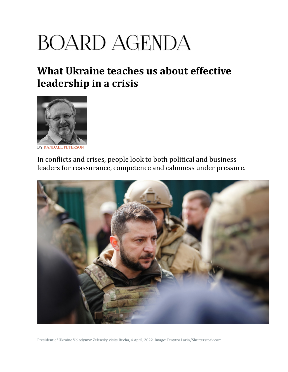## **BOARD AGENDA**

## What Ukraine teaches us about effective leadership in a crisis



**BY RANDALL PETERSO** 

In conflicts and crises, people look to both political and business leaders for reassurance, competence and calmness under pressure.



President of Ukraine Volodymyr Zelensky visits Bucha, 4 April, 2022. Image: Dmytro Larin/Shutterstock.com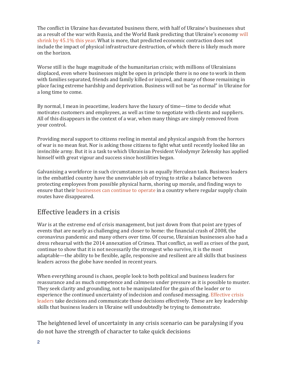The conflict in Ukraine has devastated business there, with half of Ukraine's businesses shut as a result of the war with Russia, and the World Bank predicting that Ukraine's economy will shrink by 45.1% this year. What is more, that predicted economic contraction does not include the impact of physical infrastructure destruction, of which there is likely much more on the horizon.

Worse still is the huge magnitude of the humanitarian crisis; with millions of Ukrainians displaced, even where businesses might be open in principle there is no one to work in them with families separated, friends and family killed or injured, and many of those remaining in place facing extreme hardship and deprivation. Business will not be "as normal" in Ukraine for a long time to come.

By normal, I mean in peacetime, leaders have the luxury of time—time to decide what motivates customers and employees, as well as time to negotiate with clients and suppliers. All of this disappears in the context of a war, when many things are simply removed from your control.

Providing moral support to citizens reeling in mental and physical anguish from the horrors of war is no mean feat. Nor is asking those citizens to fight what until recently looked like an invincible army. But it is a task to which Ukrainian President Volodymyr Zelensky has applied himself with great vigour and success since hostilities began.

Galvanising a workforce in such circumstances is an equally Herculean task. Business leaders in the embattled country have the unenviable job of trying to strike a balance between protecting employees from possible physical harm, shoring up morale, and finding ways to ensure that their businesses can continue to operate in a country where regular supply chain routes have disappeared.

## Effective leaders in a crisis

War is at the extreme end of crisis management, but just down from that point are types of events that are nearly as challenging and closer to home: the financial crash of 2008, the coronavirus pandemic and many others over time. Of course, Ukrainian businesses also had a dress rehearsal with the 2014 annexation of Crimea. That conflict, as well as crises of the past, continue to show that it is not necessarily the strongest who survive, it is the most adaptable—the ability to be flexible, agile, responsive and resilient are all skills that business leaders across the globe have needed in recent years.

When everything around is chaos, people look to both political and business leaders for reassurance and as much competence and calmness under pressure as it is possible to muster. They seek clarity and grounding, not to be manipulated for the gain of the leader or to experience the continued uncertainty of indecision and confused messaging. Effective crisis leaders take decisions and communicate those decisions effectively. These are key leadership skills that business leaders in Ukraine will undoubtedly be trying to demonstrate.

The heightened level of uncertainty in any crisis scenario can be paralysing if you do not have the strength of character to take quick decisions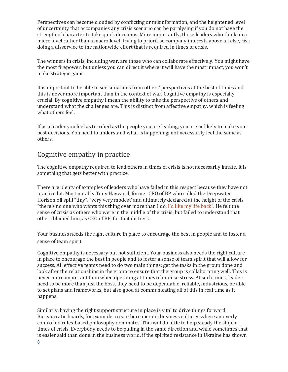Perspectives can become clouded by conflicting or misinformation, and the heightened level of uncertainty that accompanies any crisis scenario can be paralysing if you do not have the strength of character to take quick decisions. More importantly, those leaders who think on a micro level rather than a macro level, trying to prioritise company interests above all else, risk doing a disservice to the nationwide effort that is required in times of crisis.

The winners in crisis, including war, are those who can collaborate effectively. You might have the most firepower, but unless you can direct it where it will have the most impact, you won't make strategic gains.

It is important to be able to see situations from others' perspectives at the best of times and this is never more important than in the context of war. Cognitive empathy is especially crucial. By cognitive empathy I mean the ability to take the perspective of others and understand what the challenges are. This is distinct from affective empathy, which is feeling what others feel.

If as a leader you feel as terrified as the people you are leading, you are unlikely to make your best decisions. You need to understand what is happening; not necessarily feel the same as others.

## Cognitive empathy in practice

The cognitive empathy required to lead others in times of crisis is not necessarily innate. It is something that gets better with practice.

There are plenty of examples of leaders who have failed in this respect because they have not practiced it. Most notably Tony Hayward, former CEO of BP who called the Deepwater Horizon oil spill "tiny", "very very modest' and ultimately declared at the height of the crisis "there's no one who wants this thing over more than I do, I'd like my life back". He felt the sense of crisis as others who were in the middle of the crisis, but failed to understand that others blamed him, as CEO of BP, for that distress.

Your business needs the right culture in place to encourage the best in people and to foster a sense of team spirit

Cognitive empathy is necessary but not sufficient. Your business also needs the right culture in place to encourage the best in people and to foster a sense of team spirit that will allow for success. All effective teams need to do two main things: get the tasks in the group done and look after the relationships in the group to ensure that the group is collaborating well. This is never more important than when operating at times of intense stress. At such times, leaders need to be more than just the boss, they need to be dependable, reliable, industrious, be able to set plans and frameworks, but also good at communicating all of this in real time as it happens.

3 Similarly, having the right support structure in place is vital to drive things forward. Bureaucratic boards, for example, create bureaucratic business cultures where an overly controlled rules-based philosophy dominates. This will do little to help steady the ship in times of crisis. Everybody needs to be pulling in the same direction and while sometimes that is easier said than done in the business world, if the spirited resistance in Ukraine has shown